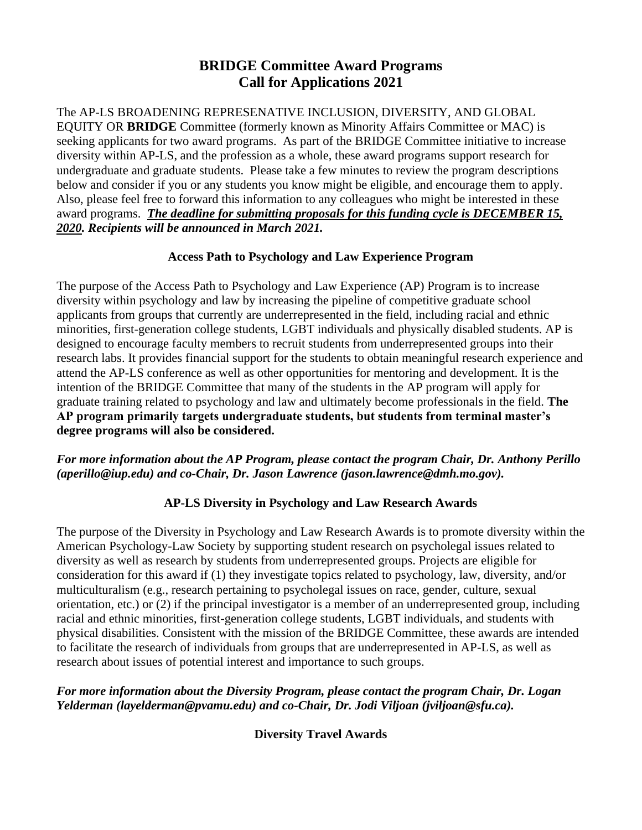# **BRIDGE Committee Award Programs Call for Applications 2021**

The AP-LS BROADENING REPRESENATIVE INCLUSION, DIVERSITY, AND GLOBAL EQUITY OR **BRIDGE** Committee (formerly known as Minority Affairs Committee or MAC) is seeking applicants for two award programs. As part of the BRIDGE Committee initiative to increase diversity within AP-LS, and the profession as a whole, these award programs support research for undergraduate and graduate students. Please take a few minutes to review the program descriptions below and consider if you or any students you know might be eligible, and encourage them to apply. Also, please feel free to forward this information to any colleagues who might be interested in these award programs. *The deadline for submitting proposals for this funding cycle is DECEMBER 15, 2020. Recipients will be announced in March 2021.* 

### **Access Path to Psychology and Law Experience Program**

The purpose of the Access Path to Psychology and Law Experience (AP) Program is to increase diversity within psychology and law by increasing the pipeline of competitive graduate school applicants from groups that currently are underrepresented in the field, including racial and ethnic minorities, first-generation college students, LGBT individuals and physically disabled students. AP is designed to encourage faculty members to recruit students from underrepresented groups into their research labs. It provides financial support for the students to obtain meaningful research experience and attend the AP-LS conference as well as other opportunities for mentoring and development. It is the intention of the BRIDGE Committee that many of the students in the AP program will apply for graduate training related to psychology and law and ultimately become professionals in the field. **The AP program primarily targets undergraduate students, but students from terminal master's degree programs will also be considered.**

#### *For more information about the AP Program, please contact the program Chair, Dr. Anthony Perillo (aperillo@iup.edu) and co-Chair, Dr. Jason Lawrence (jason.lawrence@dmh.mo.gov).*

## **AP-LS Diversity in Psychology and Law Research Awards**

The purpose of the Diversity in Psychology and Law Research Awards is to promote diversity within the American Psychology-Law Society by supporting student research on psycholegal issues related to diversity as well as research by students from underrepresented groups. Projects are eligible for consideration for this award if (1) they investigate topics related to psychology, law, diversity, and/or multiculturalism (e.g., research pertaining to psycholegal issues on race, gender, culture, sexual orientation, etc.) or (2) if the principal investigator is a member of an underrepresented group, including racial and ethnic minorities, first-generation college students, LGBT individuals, and students with physical disabilities. Consistent with the mission of the BRIDGE Committee, these awards are intended to facilitate the research of individuals from groups that are underrepresented in AP-LS, as well as research about issues of potential interest and importance to such groups.

#### *For more information about the Diversity Program, please contact the program Chair, Dr. Logan Yelderman (layelderman@pvamu.edu) and co-Chair, Dr. Jodi Viljoan (jviljoan@sfu.ca).*

**Diversity Travel Awards**